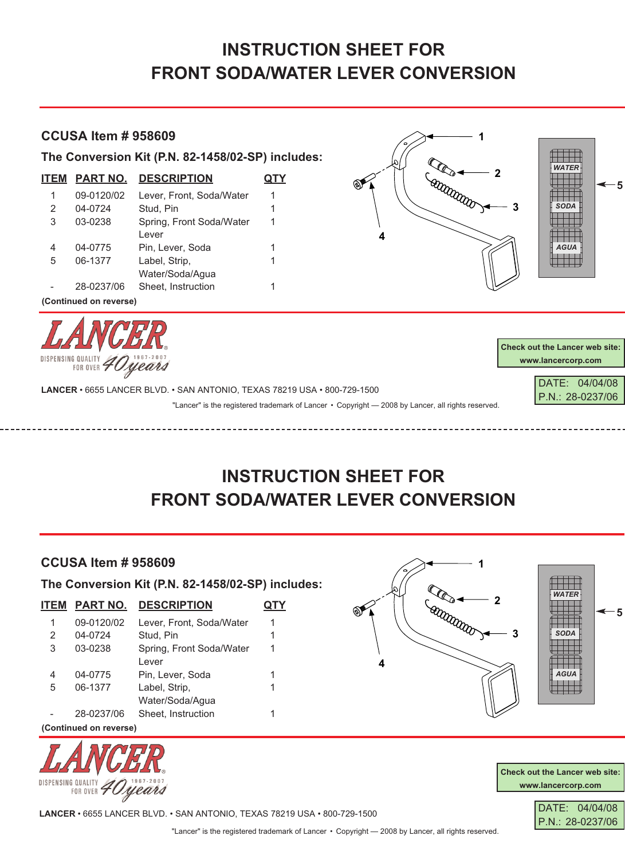## **INSTRUCTION SHEET FOR FRONT SODA/WATER LEVER CONVERSION**

## **CCUSA Item # 958609**

**The Conversion Kit (P.N. 82-1458/02-SP) includes:**

| <b>ITEM</b> | <b>PART NO.</b> | <b>DESCRIPTION</b>       |   |
|-------------|-----------------|--------------------------|---|
| 1           | 09-0120/02      | Lever, Front, Soda/Water | 1 |
| 2           | 04-0724         | Stud, Pin                | 1 |
| 3           | 03-0238         | Spring, Front Soda/Water | 1 |
|             |                 | Lever                    |   |
| 4           | 04-0775         | Pin, Lever, Soda         | 1 |
| 5           | 06-1377         | Label, Strip,            | 1 |
|             |                 | Water/Soda/Aqua          |   |
|             | 28-0237/06      | Sheet, Instruction       |   |
|             |                 |                          |   |

**(Continued on reverse)**



| <b>Check out the Lancer web site:</b> |  |  |  |  |
|---------------------------------------|--|--|--|--|
| www.lancercorp.com                    |  |  |  |  |
|                                       |  |  |  |  |

DATE: 04/04/08 P.N.: 28-0237/06

*WATER*

*SODA*

*AGUA*

**5**

**LANCER** • 6655 LANCER BLVD. • SAN ANTONIO, TEXAS 78219 USA • 800-729-1500

"Lancer" is the registered trademark of Lancer • Copyright — 2008 by Lancer, all rights reserved.

**4**

**1**

**Cattrandor** 

**2**

**3**

## **INSTRUCTION SHEET FOR FRONT SODA/WATER LEVER CONVERSION**

## **CCUSA Item # 958609**

**The Conversion Kit (P.N. 82-1458/02-SP) includes:**

| ITEM                   | <b>PART NO.</b> | <b>DESCRIPTION</b>       |   |  |
|------------------------|-----------------|--------------------------|---|--|
| 1                      | 09-0120/02      | Lever, Front, Soda/Water | 1 |  |
| 2                      | 04-0724         | Stud, Pin                | 1 |  |
| 3                      | 03-0238         | Spring, Front Soda/Water | 1 |  |
|                        |                 | Lever                    |   |  |
| 4                      | 04-0775         | Pin, Lever, Soda         | 1 |  |
| 5                      | 06-1377         | Label, Strip,            |   |  |
|                        |                 | Water/Soda/Aqua          |   |  |
|                        | 28-0237/06      | Sheet, Instruction       |   |  |
| (Continued on reverse) |                 |                          |   |  |





**Check out the Lancer web site: www.lancercorp.com**



**LANCER** • 6655 LANCER BLVD. • SAN ANTONIO, TEXAS 78219 USA • 800-729-1500

"Lancer" is the registered trademark of Lancer • Copyright — 2008 by Lancer, all rights reserved.